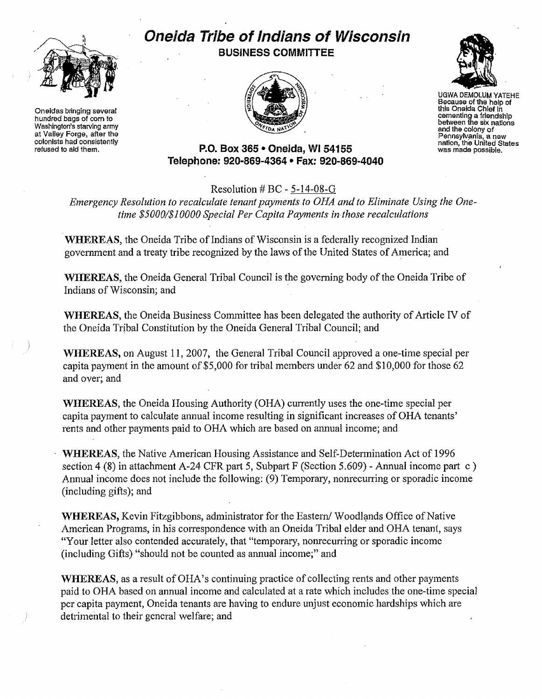

Oneidas bringing several hundred bags of corn to Washington's starving army at Valley Forge, after the colonists had consistently refused to aid them.

## **Oneida Tribe of Indians of Wisconsin BUSINESS COMMITTEE**





UGWA DEMOLUM YATEHE Because of the help of this Oneida Chief in cementing a friendship between the six nations and the colony of Pennsylvania, <sup>a</sup> new nation, the United Slates was made possible.

**P.O. Box 365· Oneida,** WI 54155 **Telephone: 920-869-4364 • Fax: 920-869-4040**

## Resolution # BC - 5-14-08-G

*Emergency Resolution to recalculate tenant payments to OHA and to Eliminate Using the Onetime \$50001\$10000 Special Per Capita Payments in those recalculations*

WHEREAS, the Oneida Tribe of Indians of Wisconsin is a federally recognized Indian government and a treaty tribe recognized by the laws of the United States of America; and

WHEREAS, the Oneida General Tribal Council is the governing body of the Oneida Tribe of Indians of Wisconsin; and .

WHEREAS, the Oneida Business Committee has been delegated the authority of Article IV of the Oneida Tribal Constitution by the Oneida General Tribal Council; and

WHEREAS, on August 11,2007, the General Tribal Council approved a one-time special per capita payment in the amount of \$5,000 for tribal members under 62 and \$10,000 for those 62 and over; and

WHEREAS, the Oneida Housing Authority (OHA) currently uses the one-time special per capita payment to calculate annual income resulting in significant increases of OHA tenants' rents and other payments paid to OHA which are based on annual income; and

WHEREAS, the Native American Housing Assistance and Self-Determination Act of 1996 section 4 (8) in attachment A-24 CFR part 5, Subpart F (Section 5.609) - Annual income part c) Annual income does not include the following: (9) Temporary, nonrecurring or sporadic income (including gifts); and

WHEREAS, Kevin Fitzgibbons, administrator for the Eastern/Woodlands Office of Native American Programs, in his correspondence with an Oneida Tribal elder and OHA tenant, says "Your letter also contended accurately, that "temporary, nonrecurring or sporadic income (including Gifts) "should not be counted as annual income;" and

WHEREAS, as a result of OHA's continuing practice of collecting rents and other payments paid to OHA based on annual income and calculated at a rate which includes the one-time special per capita payment, Oneida tenants are having to endure unjust economic hardships which are detrimental to their general welfare; and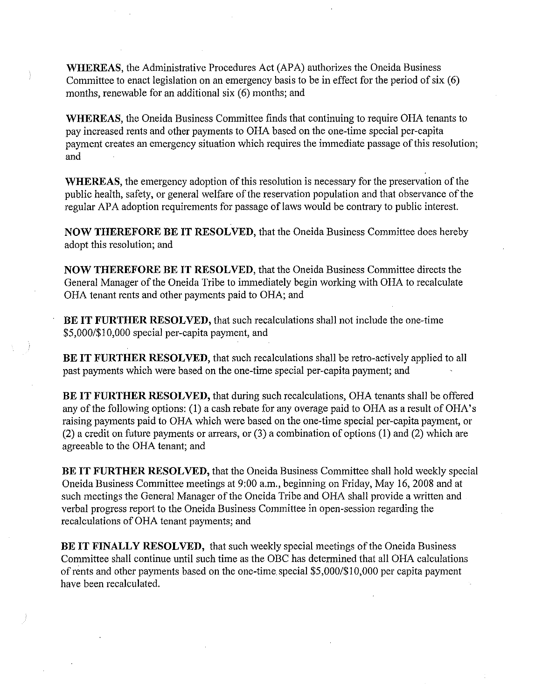WHEREAS, the Administrative Procedures Act (APA) authorizes the Oneida Business Committee to enact legislation on an emergency basis to be in effect for the period of six  $(6)$ months, renewable for an additional six (6) months; and

WHEREAS, the Oneida Business Committee finds that continuing to require OHA tenants to pay increased rents and other payments to OHA based on the one-time special per-capita payment creates an emergency situation which requires the immediate passage of this resolution; and

WHEREAS, the emergency adoption of this resolution is necessary for the preservation of the public health, safety, or general welfare of the reservation population and that observance of the regular APA adoption requirements for passage of laws would be contrary to public interest.

NOW THEREFORE BE **IT** RESOLVED, that the Oneida Business Committee does hereby adopt this resolution; and

NOW THEREFORE BE **IT** RESOLVED, that the Oneida Business Committee directs the General Manager of the Oneida Tribe to immediately begin working with OHA to recalculate OHA tenant rents and other payments paid to OHA; and

BE **IT** FURTHER RESOLVED, that such recalculations shall not include the one-time *\$5,0001\$10,000* special per-capita payment, and

BE **IT** FURTHER RESOLVED, that such recalculations shall be retro-actively applied to all past payments which were based on the one-time special per-capita payment; and

BE **IT** FURTHER RESOLVED, that during such recalculations, OHA tenants shall be offered any of the following options: (1) a cash rebate for any overage paid to OHA as a result of OHA's raising payments paid to OHA which were based on the one-time special per-capita payment, or (2) a credit on future payments or arrears, or (3) a combination of options (l) and (2) which are agreeable to the OHA tenant; and

BE **IT** FURTHER RESOLVED, that the Oneida Business Committee shall hold weekly special Oneida Business Committee meetings at 9:00 a.m., beginning on Friday, May 16,2008 and at such meetings the General Manager of the Oneida Tribe and OHA shall provide a written and verbal progress report to the Oneida Business Committee in open-session regarding the recalculations of OHA tenant payments; and

BE IT FINALLY RESOLVED, that such weekly special meetings of the Oneida Business Committee shall continue until such time as the OBC has determined that all OHA calculations ofrents and other payments based on the one-time special \$5,000/\$10,000 per capita payment have been recalculated.